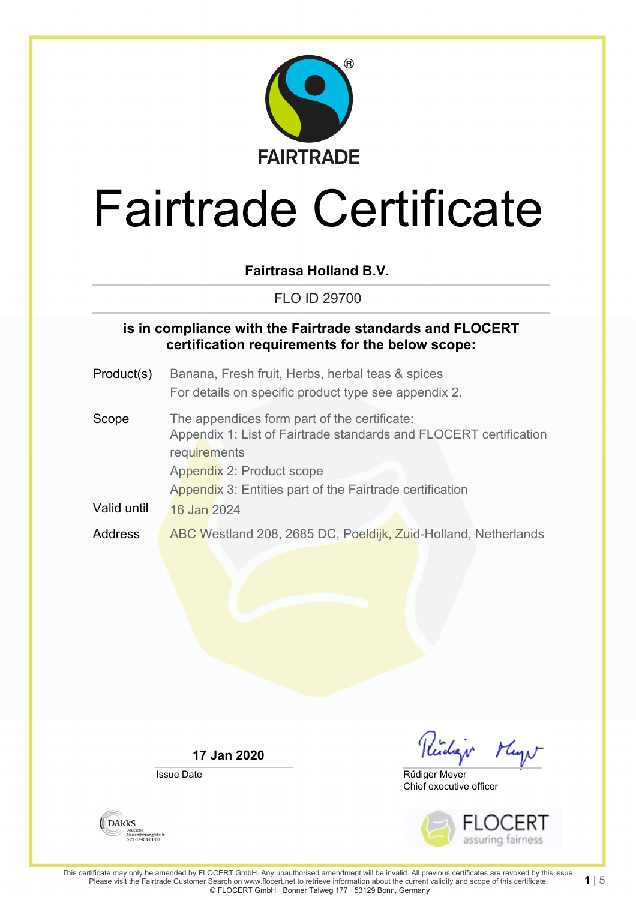

**Fairtrasa Holland B.V.**

FLO ID 29700

### **is in compliance with the Fairtrade standards and FLOCERT certification requirements for the below scope:**

- Product(s) Banana, Fresh fruit, Herbs, herbal teas & spices For details on specific product type see appendix 2.
- Scope The appendices form part of the certificate: Appendix 1: List of Fairtrade standards and FLOCERT certification **requirements** Appendix 2: Product scope Appendix 3: Entities part of the Fairtrade certification Valid until 16 Jan 2024 Address ABC Westland 208, 2685 DC, Poeldijk, Zuid-Holland, Netherlands

**17 Jan 2020**

Issue Date

Kidar Mayn

Chief executive officer Rüdiger Meyer



**1** | 5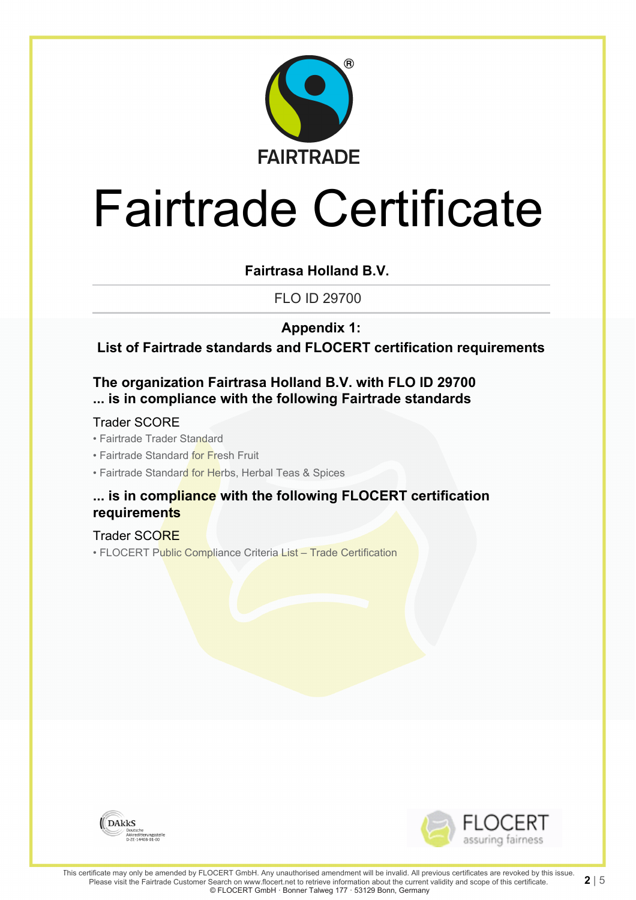

**Fairtrasa Holland B.V.**

FLO ID 29700

**Appendix 1:**

**List of Fairtrade standards and FLOCERT certification requirements**

### **The organization Fairtrasa Holland B.V. with FLO ID 29700 ... is in compliance with the following Fairtrade standards**

#### Trader SCORE

- Fairtrade Trader Standard
- Fairtrade Standard for Fresh Fruit
- Fairtrade Standard for Herbs, Herbal Teas & Spices

### **... is in compliance with the following FLOCERT certification requirements**

#### Trader SCORE

• FLOCERT Public Compliance Criteria List – Trade Certification



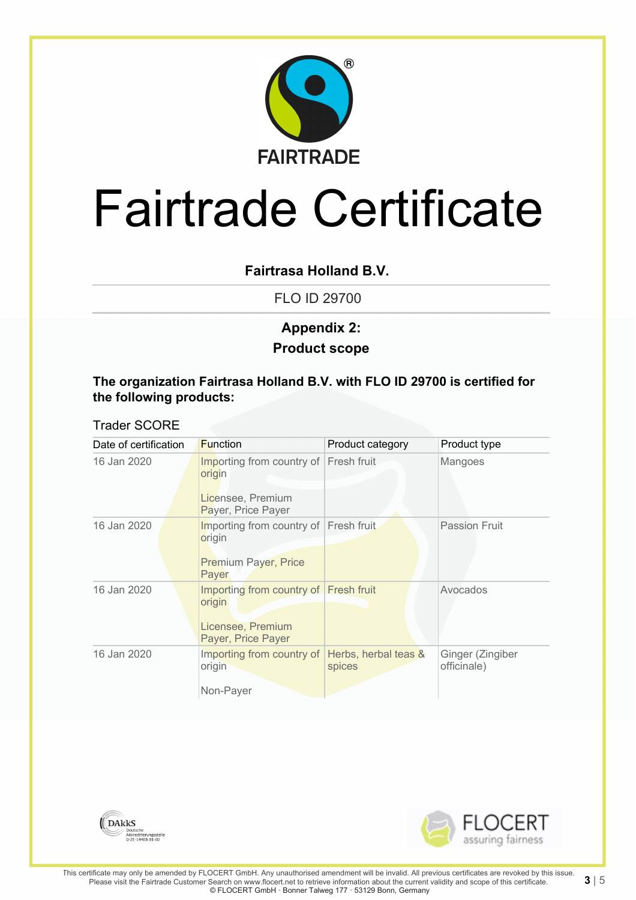

### **Fairtrasa Holland B.V.**

FLO ID 29700

## **Product scope Appendix 2:**

#### **The organization Fairtrasa Holland B.V. with FLO ID 29700 is certified for the following products:**

#### Trader SCORE

| Date of certification |  | <b>Function</b>                                                                            | Product category               | Product type                    |
|-----------------------|--|--------------------------------------------------------------------------------------------|--------------------------------|---------------------------------|
| 16 Jan 2020           |  | Importing from country of<br>origin<br>Licensee, Premium<br>Payer, Price Payer             | Fresh fruit                    | Mangoes                         |
| 16 Jan 2020           |  | Importing from country of<br>origin<br><b>Premium Payer, Price</b><br>Payer                | Fresh fruit                    | <b>Passion Fruit</b>            |
| 16 Jan 2020           |  | Importing from country of Fresh fruit<br>origin<br>Licensee, Premium<br>Payer, Price Payer |                                | Avocados                        |
| 16 Jan 2020           |  | Importing from country of<br>origin<br>Non-Payer                                           | Herbs, herbal teas &<br>spices | Ginger (Zingiber<br>officinale) |



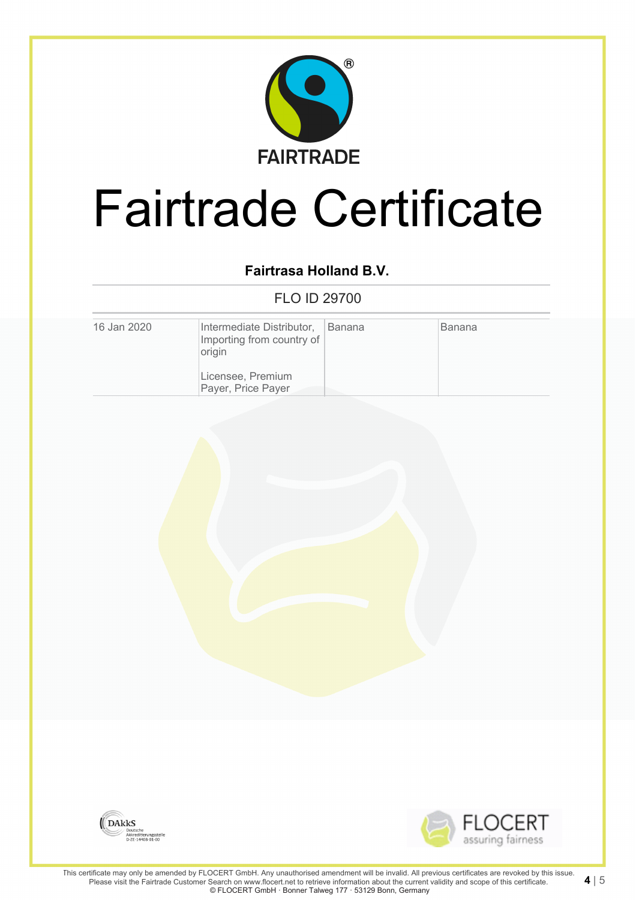

## **Fairtrasa Holland B.V.**

FLO ID 29700

| 16 Jan 2020 | Intermediate Distributor,<br>Importing from country of<br>origin | <b>Banana</b> | <b>Banana</b> |
|-------------|------------------------------------------------------------------|---------------|---------------|
|             | Licensee, Premium<br>Payer, Price Payer                          |               |               |